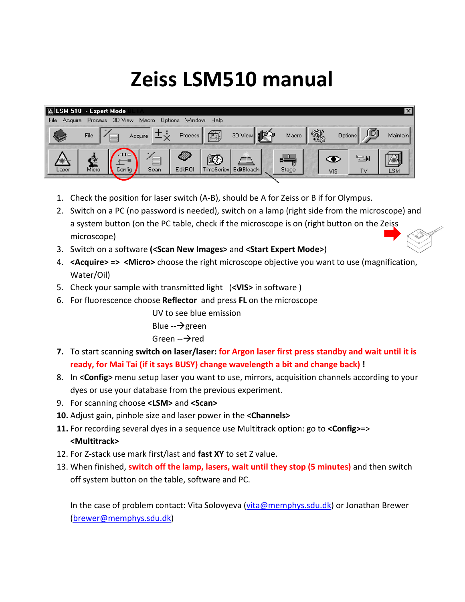## **Zeiss LSM510 manual**

|                 | <b>Expert Mode</b> |                               |              |                 |                  |       |   |                      | $\vert x \vert$ |
|-----------------|--------------------|-------------------------------|--------------|-----------------|------------------|-------|---|----------------------|-----------------|
| File<br>Acquire | 3D View<br>Process | Macro<br>Options              | Window       | Help            |                  |       |   |                      |                 |
| V               | File               | Acquire                       | Process      | fi.             | te.<br>3D View   | Macro | 黴 | Options              | Maintain        |
| Laser           | Ĕ<br>Micro         | $\sim$ IID.<br>Scan<br>Config | M<br>EditROI | 図<br>TimeSeries | ÆF<br>EditBleach | Stage |   | 벌<br>◉<br>TV.<br>VIS | LSM             |

- 1. Check the position for laser switch (A-B), should be A for Zeiss or B if for Olympus.
- 2. Switch on a PC (no password is needed), switch on a lamp (right side from the microscope) and a system button (on the PC table, check if the microscope is on (right button on the Zeiss microscope)
- 3. Switch on a software **(<Scan New Images>** and **<Start Expert Mode>**)
- 4. **<Acquire> => <Micro>** choose the right microscope objective you want to use (magnification, Water/Oil)
- 5. Check your sample with transmitted light (**<VIS>** in software )
- 6. For fluorescence choose **Reflector** and press **FL** on the microscope

UV to see blue emission

Blue  $\rightarrow$ green

## Green  $\rightarrow$  red

- **7.** To start scanning **switch on laser/laser: for Argon laser first press standby and wait until it is ready, for Mai Tai (if it says BUSY) change wavelength a bit and change back) !**
- 8. In **<Config>** menu setup laser you want to use, mirrors, acquisition channels according to your dyes or use your database from the previous experiment.
- 9. For scanning choose **<LSM>** and **<Scan>**
- **10.** Adjust gain, pinhole size and laser power in the **<Channels>**
- **11.** For recording several dyes in a sequence use Multitrack option: go to **<Config>**=> **<Multitrack>**
- 12. For Z-stack use mark first/last and **fast XY** to set Z value.
- 13. When finished, **switch off the lamp, lasers, wait until they stop (5 minutes)** and then switch off system button on the table, software and PC.

In the case of problem contact: Vita Solovyeva [\(vita@memphys.sdu.dk\)](mailto:vita@memphys.sdu.dk) or Jonathan Brewer (brewer@memphys.sdu.dk)